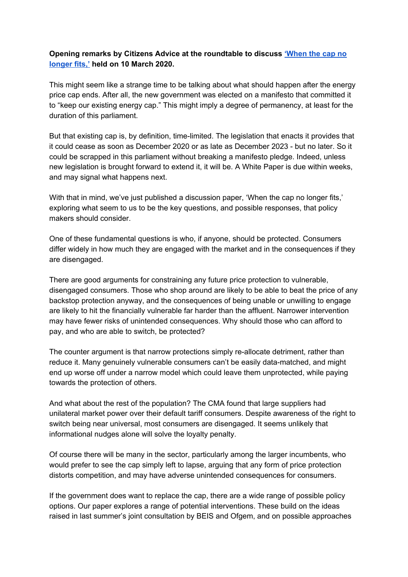## **Opening remarks by Citizens Advice at the roundtable to discuss ['When](https://www.citizensadvice.org.uk/Global/CitizensAdvice/Energy/When%20the%20cap%20no%20longer%20fits%20-%20a%20discussion%20paper.pdf) the cap no [longer](https://www.citizensadvice.org.uk/Global/CitizensAdvice/Energy/When%20the%20cap%20no%20longer%20fits%20-%20a%20discussion%20paper.pdf) fits,' held on 10 March 2020.**

This might seem like a strange time to be talking about what should happen after the energy price cap ends. After all, the new government was elected on a manifesto that committed it to "keep our existing energy cap." This might imply a degree of permanency, at least for the duration of this parliament.

But that existing cap is, by definition, time-limited. The legislation that enacts it provides that it could cease as soon as December 2020 or as late as December 2023 - but no later. So it could be scrapped in this parliament without breaking a manifesto pledge. Indeed, unless new legislation is brought forward to extend it, it will be. A White Paper is due within weeks, and may signal what happens next.

With that in mind, we've just published a discussion paper, 'When the cap no longer fits,' exploring what seem to us to be the key questions, and possible responses, that policy makers should consider.

One of these fundamental questions is who, if anyone, should be protected. Consumers differ widely in how much they are engaged with the market and in the consequences if they are disengaged.

There are good arguments for constraining any future price protection to vulnerable, disengaged consumers. Those who shop around are likely to be able to beat the price of any backstop protection anyway, and the consequences of being unable or unwilling to engage are likely to hit the financially vulnerable far harder than the affluent. Narrower intervention may have fewer risks of unintended consequences. Why should those who can afford to pay, and who are able to switch, be protected?

The counter argument is that narrow protections simply re-allocate detriment, rather than reduce it. Many genuinely vulnerable consumers can't be easily data-matched, and might end up worse off under a narrow model which could leave them unprotected, while paying towards the protection of others.

And what about the rest of the population? The CMA found that large suppliers had unilateral market power over their default tariff consumers. Despite awareness of the right to switch being near universal, most consumers are disengaged. It seems unlikely that informational nudges alone will solve the loyalty penalty.

Of course there will be many in the sector, particularly among the larger incumbents, who would prefer to see the cap simply left to lapse, arguing that any form of price protection distorts competition, and may have adverse unintended consequences for consumers.

If the government does want to replace the cap, there are a wide range of possible policy options. Our paper explores a range of potential interventions. These build on the ideas raised in last summer's joint consultation by BEIS and Ofgem, and on possible approaches